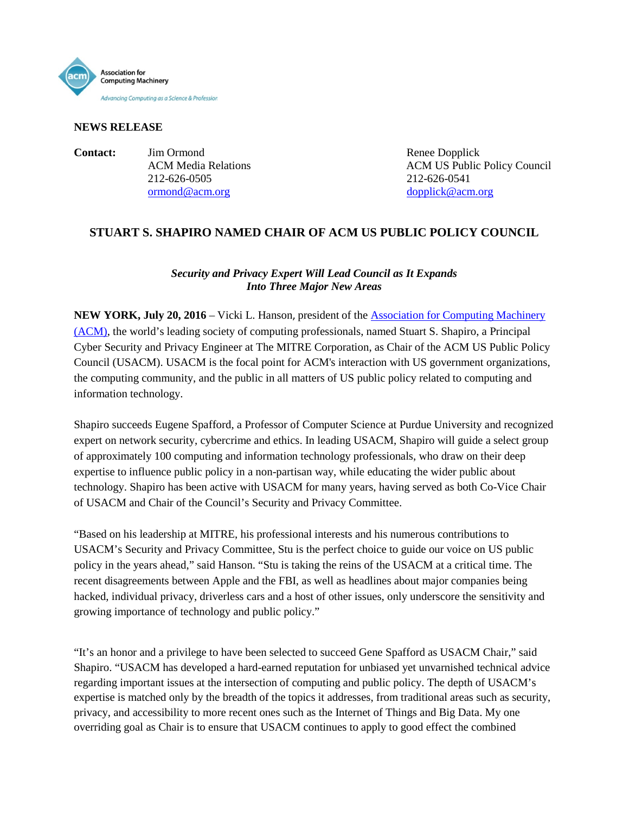

### **NEWS RELEASE**

**Contact:** Jim Ormond Renee Dopplick 212-626-0505 212-626-0541 [ormond@acm.org](mailto:ormond@acm.org) [dopplick@acm.org](mailto:dopplick@acm.org)

ACM Media Relations **ACM US Public Policy Council** 

# **STUART S. SHAPIRO NAMED CHAIR OF ACM US PUBLIC POLICY COUNCIL**

## *Security and Privacy Expert Will Lead Council as It Expands Into Three Major New Areas*

**NEW YORK, July 20, 2016** – Vicki L. Hanson, president of the [Association for Computing Machinery](http://www.acm.org/)  [\(ACM\),](http://www.acm.org/) the world's leading society of computing professionals, named Stuart S. Shapiro, a Principal Cyber Security and Privacy Engineer at The MITRE Corporation, as Chair of the ACM US Public Policy Council (USACM). USACM is the focal point for ACM's interaction with US government organizations, the computing community, and the public in all matters of US public policy related to computing and information technology.

Shapiro succeeds Eugene Spafford, a Professor of Computer Science at Purdue University and recognized expert on network security, cybercrime and ethics. In leading USACM, Shapiro will guide a select group of approximately 100 computing and information technology professionals, who draw on their deep expertise to influence public policy in a non-partisan way, while educating the wider public about technology. Shapiro has been active with USACM for many years, having served as both Co-Vice Chair of USACM and Chair of the Council's Security and Privacy Committee.

"Based on his leadership at MITRE, his professional interests and his numerous contributions to USACM's Security and Privacy Committee, Stu is the perfect choice to guide our voice on US public policy in the years ahead," said Hanson. "Stu is taking the reins of the USACM at a critical time. The recent disagreements between Apple and the FBI, as well as headlines about major companies being hacked, individual privacy, driverless cars and a host of other issues, only underscore the sensitivity and growing importance of technology and public policy."

"It's an honor and a privilege to have been selected to succeed Gene Spafford as USACM Chair," said Shapiro. "USACM has developed a hard-earned reputation for unbiased yet unvarnished technical advice regarding important issues at the intersection of computing and public policy. The depth of USACM's expertise is matched only by the breadth of the topics it addresses, from traditional areas such as security, privacy, and accessibility to more recent ones such as the Internet of Things and Big Data. My one overriding goal as Chair is to ensure that USACM continues to apply to good effect the combined